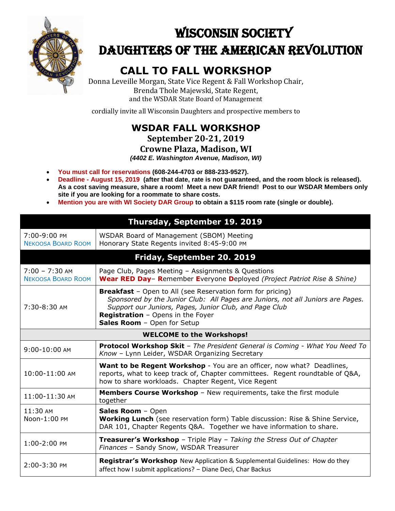

# WISCONSIN SOCIETY DAUGHTERS OF THE AMERICAN REVOLUTION

## **CALL TO FALL WORKSHOP**

Donna Leveille Morgan, State Vice Regent & Fall Workshop Chair, Brenda Thole Majewski, State Regent, and the WSDAR State Board of Management

cordially invite all Wisconsin Daughters and prospective members to

## **WSDAR FALL WORKSHOP**

**September 20-21, 2019**

#### **Crowne Plaza, Madison, WI**

*(4402 E. Washington Avenue, Madison, WI)*

- **You must call for reservations (608-244-4703 or 888-233-9527).**
- **Deadline - August 15, 2019 (after that date, rate is not guaranteed, and the room block is released). As a cost saving measure, share a room! Meet a new DAR friend! Post to our WSDAR Members only site if you are looking for a roommate to share costs.**
- **Mention you are with WI Society DAR Group to obtain a \$115 room rate (single or double).**

|                                               | Thursday, September 19. 2019                                                                                                                                                                                                                                                              |  |
|-----------------------------------------------|-------------------------------------------------------------------------------------------------------------------------------------------------------------------------------------------------------------------------------------------------------------------------------------------|--|
| 7:00-9:00 PM<br><b>NEKOOSA BOARD ROOM</b>     | WSDAR Board of Management (SBOM) Meeting<br>Honorary State Regents invited 8:45-9:00 PM                                                                                                                                                                                                   |  |
|                                               | Friday, September 20. 2019                                                                                                                                                                                                                                                                |  |
| $7:00 - 7:30$ AM<br><b>NEKOOSA BOARD ROOM</b> | Page Club, Pages Meeting - Assignments & Questions<br>Wear RED Day- Remember Everyone Deployed (Project Patriot Rise & Shine)                                                                                                                                                             |  |
| $7:30-8:30$ AM                                | <b>Breakfast</b> - Open to All (see Reservation form for pricing)<br>Sponsored by the Junior Club: All Pages are Juniors, not all Juniors are Pages.<br>Support our Juniors, Pages, Junior Club, and Page Club<br><b>Registration</b> - Opens in the Foyer<br>Sales Room - Open for Setup |  |
| <b>WELCOME to the Workshops!</b>              |                                                                                                                                                                                                                                                                                           |  |
| $9:00 - 10:00$ AM                             | <b>Protocol Workshop Skit</b> - The President General is Coming - What You Need To<br>Know - Lynn Leider, WSDAR Organizing Secretary                                                                                                                                                      |  |
| $10:00-11:00$ AM                              | <b>Want to be Regent Workshop</b> - You are an officer, now what? Deadlines,<br>reports, what to keep track of, Chapter committees. Regent roundtable of Q&A,<br>how to share workloads. Chapter Regent, Vice Regent                                                                      |  |
| 11:00-11:30 AM                                | Members Course Workshop - New requirements, take the first module<br>together                                                                                                                                                                                                             |  |
| 11:30 AM<br>Noon-1:00 PM                      | Sales Room - Open<br><b>Working Lunch</b> (see reservation form) Table discussion: Rise & Shine Service,<br>DAR 101, Chapter Regents Q&A. Together we have information to share.                                                                                                          |  |
| 1:00-2:00 PM                                  | <b>Treasurer's Workshop</b> - Triple Play - Taking the Stress Out of Chapter<br>Finances - Sandy Snow, WSDAR Treasurer                                                                                                                                                                    |  |
| 2:00-3:30 PM                                  | <b>Registrar's Workshop</b> New Application & Supplemental Guidelines: How do they<br>affect how I submit applications? - Diane Deci, Char Backus                                                                                                                                         |  |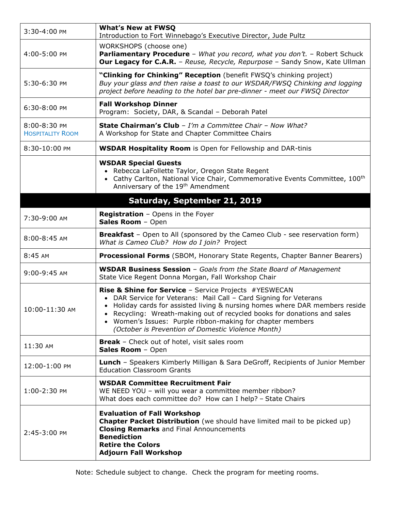| 3:30-4:00 PM                            | <b>What's New at FWSO</b><br>Introduction to Fort Winnebago's Executive Director, Jude Pultz                                                                                                                                                                                                                                                                                                               |  |  |
|-----------------------------------------|------------------------------------------------------------------------------------------------------------------------------------------------------------------------------------------------------------------------------------------------------------------------------------------------------------------------------------------------------------------------------------------------------------|--|--|
| 4:00-5:00 PM                            | WORKSHOPS (choose one)<br>Parliamentary Procedure - What you record, what you don't. - Robert Schuck<br><b>Our Legacy for C.A.R.</b> - Reuse, Recycle, Repurpose - Sandy Snow, Kate Ullman                                                                                                                                                                                                                 |  |  |
| 5:30-6:30 PM                            | "Clinking for Chinking" Reception (benefit FWSQ's chinking project)<br>Buy your glass and then raise a toast to our WSDAR/FWSQ Chinking and logging<br>project before heading to the hotel bar pre-dinner - meet our FWSQ Director                                                                                                                                                                         |  |  |
| 6:30-8:00 PM                            | <b>Fall Workshop Dinner</b><br>Program: Society, DAR, & Scandal - Deborah Patel                                                                                                                                                                                                                                                                                                                            |  |  |
| 8:00-8:30 PM<br><b>HOSPITALITY ROOM</b> | <b>State Chairman's Club</b> - I'm a Committee Chair - Now What?<br>A Workshop for State and Chapter Committee Chairs                                                                                                                                                                                                                                                                                      |  |  |
| 8:30-10:00 PM                           | <b>WSDAR Hospitality Room</b> is Open for Fellowship and DAR-tinis                                                                                                                                                                                                                                                                                                                                         |  |  |
|                                         | <b>WSDAR Special Guests</b><br>• Rebecca LaFollette Taylor, Oregon State Regent<br>• Cathy Carlton, National Vice Chair, Commemorative Events Committee, 100 <sup>th</sup><br>Anniversary of the 19 <sup>th</sup> Amendment                                                                                                                                                                                |  |  |
|                                         | Saturday, September 21, 2019                                                                                                                                                                                                                                                                                                                                                                               |  |  |
| 7:30-9:00 AM                            | <b>Registration</b> - Opens in the Foyer<br>Sales Room - Open                                                                                                                                                                                                                                                                                                                                              |  |  |
| $8:00 - 8:45$ AM                        | <b>Breakfast</b> – Open to All (sponsored by the Cameo Club - see reservation form)<br>What is Cameo Club? How do I join? Project                                                                                                                                                                                                                                                                          |  |  |
| 8:45 AM                                 | <b>Processional Forms</b> (SBOM, Honorary State Regents, Chapter Banner Bearers)                                                                                                                                                                                                                                                                                                                           |  |  |
| 9:00-9:45 AM                            | <b>WSDAR Business Session</b> - Goals from the State Board of Management<br>State Vice Regent Donna Morgan, Fall Workshop Chair                                                                                                                                                                                                                                                                            |  |  |
| 10:00-11:30 AM                          | Rise & Shine for Service - Service Projects #YESWECAN<br>• DAR Service for Veterans: Mail Call - Card Signing for Veterans<br>• Holiday cards for assisted living & nursing homes where DAR members reside<br>• Recycling: Wreath-making out of recycled books for donations and sales<br>• Women's Issues: Purple ribbon-making for chapter members<br>(October is Prevention of Domestic Violence Month) |  |  |
| 11:30 AM                                | <b>Break</b> - Check out of hotel, visit sales room<br>Sales Room - Open                                                                                                                                                                                                                                                                                                                                   |  |  |
| 12:00-1:00 PM                           | <b>Lunch</b> - Speakers Kimberly Milligan & Sara DeGroff, Recipients of Junior Member<br><b>Education Classroom Grants</b>                                                                                                                                                                                                                                                                                 |  |  |
| 1:00-2:30 PM                            | <b>WSDAR Committee Recruitment Fair</b><br>WE NEED YOU - will you wear a committee member ribbon?<br>What does each committee do? How can I help? - State Chairs                                                                                                                                                                                                                                           |  |  |
| 2:45-3:00 PM                            | <b>Evaluation of Fall Workshop</b><br>Chapter Packet Distribution (we should have limited mail to be picked up)<br><b>Closing Remarks</b> and Final Announcements<br><b>Benediction</b><br><b>Retire the Colors</b><br><b>Adjourn Fall Workshop</b>                                                                                                                                                        |  |  |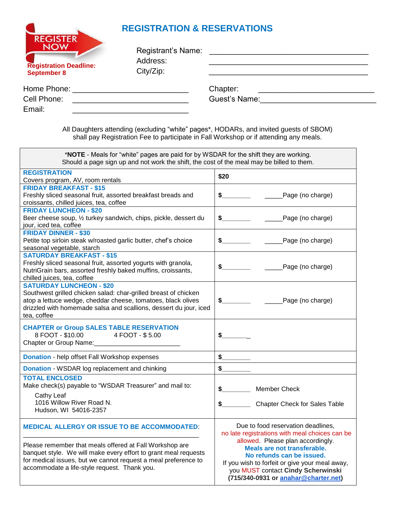## **REGISTRATION & RESERVATIONS**

 $C$ <sub>ICTE</sub>

| <b>NLUIJILN</b><br><b>NOW</b><br><b>Registration Deadline:</b><br><b>September 8</b> | Registrant's Name:<br>Address:<br>City/Zip: |                                                                                                                                                                                                                               |  |
|--------------------------------------------------------------------------------------|---------------------------------------------|-------------------------------------------------------------------------------------------------------------------------------------------------------------------------------------------------------------------------------|--|
| Home Phone: ________________________                                                 |                                             | Chapter:                                                                                                                                                                                                                      |  |
| Cell Phone:                                                                          |                                             | Guest's Name: The Contract of the Contract of the Contract of the Contract of the Contract of the Contract of the Contract of the Contract of the Contract of the Contract of the Contract of the Contract of the Contract of |  |
| Email:                                                                               |                                             |                                                                                                                                                                                                                               |  |

All Daughters attending (excluding "white" pages\*, HODARs, and invited guests of SBOM) shall pay Registration Fee to participate in Fall Workshop or if attending any meals.

| \$20                                                                                                                                                                                                                                                                                                                  |  |
|-----------------------------------------------------------------------------------------------------------------------------------------------------------------------------------------------------------------------------------------------------------------------------------------------------------------------|--|
| $\frac{1}{2}$<br>______Page (no charge)                                                                                                                                                                                                                                                                               |  |
| $\frac{1}{2}$<br>______Page (no charge)                                                                                                                                                                                                                                                                               |  |
| $\frac{1}{2}$<br>______Page (no charge)                                                                                                                                                                                                                                                                               |  |
| $\frac{1}{2}$<br>______Page (no charge)                                                                                                                                                                                                                                                                               |  |
| ______Page (no charge)<br>$\frac{1}{2}$                                                                                                                                                                                                                                                                               |  |
| $\sim$                                                                                                                                                                                                                                                                                                                |  |
| \$                                                                                                                                                                                                                                                                                                                    |  |
| s                                                                                                                                                                                                                                                                                                                     |  |
| $\sim$<br><b>Member Check</b><br><b>Chapter Check for Sales Table</b><br>S.                                                                                                                                                                                                                                           |  |
| Due to food reservation deadlines,<br>no late registrations with meal choices can be<br>allowed. Please plan accordingly.<br>Meals are not transferable.<br>No refunds can be issued.<br>If you wish to forfeit or give your meal away,<br>you MUST contact Cindy Scherwinski<br>(715/340-0931 or anahar@charter.net) |  |
|                                                                                                                                                                                                                                                                                                                       |  |